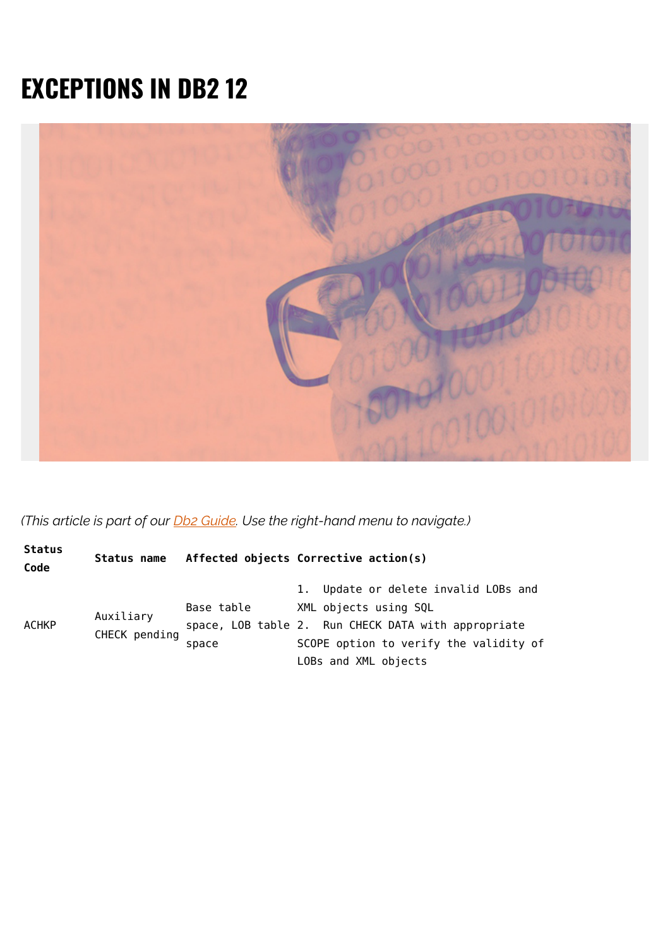## **EXCEPTIONS IN DB2 12**



*(This article is part of our [Db2 Guide.](https://blogs.bmc.com/blogs/db2-introduction/) Use the right-hand menu to navigate.)*

| <b>Status</b><br>Code | Status name                |            | Affected objects Corrective action(s)               |
|-----------------------|----------------------------|------------|-----------------------------------------------------|
| ACHKP                 | Auxiliary<br>CHECK pending |            | 1. Update or delete invalid LOBs and                |
|                       |                            | Base table | XML objects using SQL                               |
|                       |                            |            | space, LOB table 2. Run CHECK DATA with appropriate |
|                       |                            | space      | SCOPE option to verify the validity of              |
|                       |                            |            | LOBs and XML objects                                |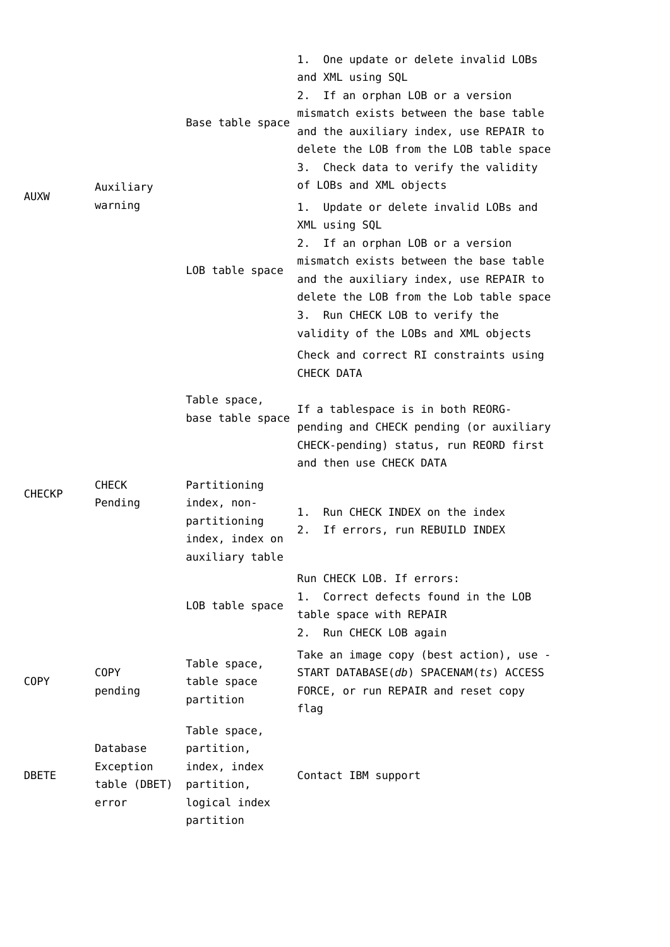| <b>AUXW</b>   | Auxiliary<br>warning                           | Base table space                                                                       | 1. One update or delete invalid LOBs<br>and XML using SQL<br>2. If an orphan LOB or a version<br>mismatch exists between the base table<br>and the auxiliary index, use REPAIR to<br>delete the LOB from the LOB table space<br>3. Check data to verify the validity<br>of LOBs and XML objects                                                    |  |
|---------------|------------------------------------------------|----------------------------------------------------------------------------------------|----------------------------------------------------------------------------------------------------------------------------------------------------------------------------------------------------------------------------------------------------------------------------------------------------------------------------------------------------|--|
|               |                                                | LOB table space                                                                        | Update or delete invalid LOBs and<br>1.<br>XML using SQL<br>If an orphan LOB or a version<br>2.<br>mismatch exists between the base table<br>and the auxiliary index, use REPAIR to<br>delete the LOB from the Lob table space<br>3. Run CHECK LOB to verify the<br>validity of the LOBs and XML objects<br>Check and correct RI constraints using |  |
| <b>CHECKP</b> | <b>CHECK</b><br>Pending                        | Table space,<br>base table space                                                       | CHECK DATA<br>If a tablespace is in both REORG-<br>pending and CHECK pending (or auxiliary<br>CHECK-pending) status, run REORD first<br>and then use CHECK DATA                                                                                                                                                                                    |  |
|               |                                                | Partitioning<br>index, non-<br>partitioning<br>index, index on<br>auxiliary table      | Run CHECK INDEX on the index<br>1.<br>2.<br>If errors, run REBUILD INDEX                                                                                                                                                                                                                                                                           |  |
|               |                                                | LOB table space                                                                        | Run CHECK LOB. If errors:<br>Correct defects found in the LOB<br>1.<br>table space with REPAIR<br>2. Run CHECK LOB again                                                                                                                                                                                                                           |  |
| <b>COPY</b>   | <b>COPY</b><br>pending                         | Table space,<br>table space<br>partition                                               | Take an image copy (best action), use -<br>START DATABASE(db) SPACENAM(ts) ACCESS<br>FORCE, or run REPAIR and reset copy<br>flag                                                                                                                                                                                                                   |  |
| <b>DBETE</b>  | Database<br>Exception<br>table (DBET)<br>error | Table space,<br>partition,<br>index, index<br>partition,<br>logical index<br>partition | Contact IBM support                                                                                                                                                                                                                                                                                                                                |  |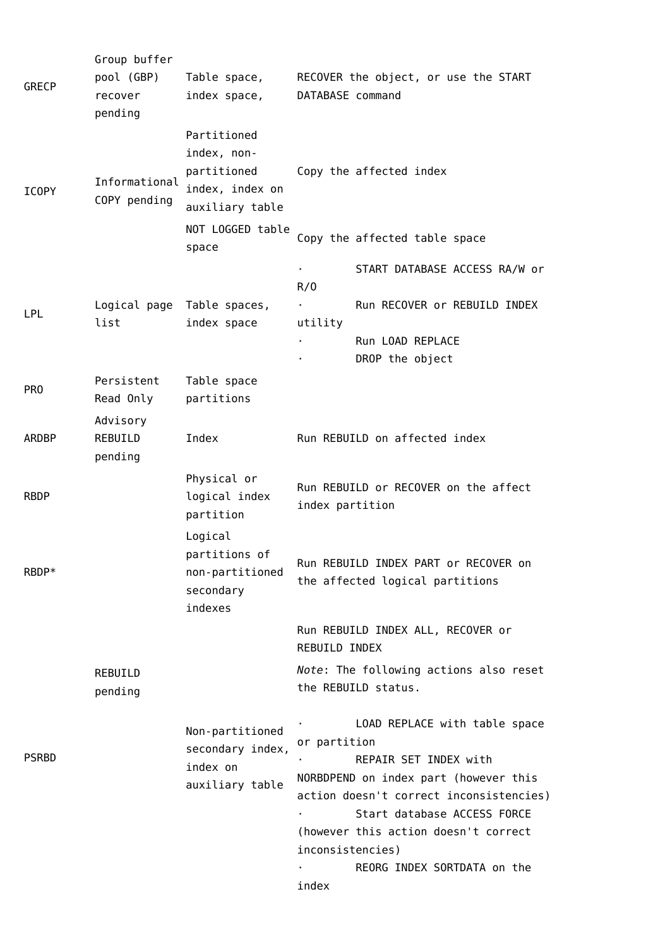|                 | Group buffer                     |                                                                                 |                                           |                                                                                                                                                                                                                                                  |
|-----------------|----------------------------------|---------------------------------------------------------------------------------|-------------------------------------------|--------------------------------------------------------------------------------------------------------------------------------------------------------------------------------------------------------------------------------------------------|
| <b>GRECP</b>    | pool (GBP)<br>recover<br>pending | Table space,<br>index space,                                                    | DATABASE command                          | RECOVER the object, or use the START                                                                                                                                                                                                             |
| <b>ICOPY</b>    | Informational<br>COPY pending    | Partitioned<br>index, non-<br>partitioned<br>index, index on<br>auxiliary table |                                           | Copy the affected index                                                                                                                                                                                                                          |
|                 |                                  | NOT LOGGED table<br>space                                                       |                                           | Copy the affected table space                                                                                                                                                                                                                    |
|                 |                                  |                                                                                 | R/0                                       | START DATABASE ACCESS RA/W or                                                                                                                                                                                                                    |
| LPL             | Logical page<br>list             | Table spaces,<br>index space                                                    | $\bullet$<br>utility                      | Run RECOVER or REBUILD INDEX                                                                                                                                                                                                                     |
|                 |                                  |                                                                                 |                                           | Run LOAD REPLACE<br>DROP the object                                                                                                                                                                                                              |
| PR <sub>0</sub> | Persistent<br>Read Only          | Table space<br>partitions                                                       |                                           |                                                                                                                                                                                                                                                  |
| ARDBP           | Advisory<br>REBUILD<br>pending   | Index                                                                           |                                           | Run REBUILD on affected index                                                                                                                                                                                                                    |
| <b>RBDP</b>     |                                  | Physical or<br>logical index<br>partition                                       | index partition                           | Run REBUILD or RECOVER on the affect                                                                                                                                                                                                             |
| RBDP*           |                                  | Logical<br>partitions of<br>non-partitioned<br>secondary<br>indexes             |                                           | Run REBUILD INDEX PART or RECOVER on<br>the affected logical partitions                                                                                                                                                                          |
|                 |                                  |                                                                                 | REBUILD INDEX                             | Run REBUILD INDEX ALL, RECOVER or                                                                                                                                                                                                                |
|                 | REBUILD<br>pending               |                                                                                 |                                           | Note: The following actions also reset<br>the REBUILD status.                                                                                                                                                                                    |
| <b>PSRBD</b>    |                                  | Non-partitioned<br>secondary index,<br>index on<br>auxiliary table              | or partition<br>inconsistencies)<br>index | LOAD REPLACE with table space<br>REPAIR SET INDEX with<br>NORBDPEND on index part (however this<br>action doesn't correct inconsistencies)<br>Start database ACCESS FORCE<br>(however this action doesn't correct<br>REORG INDEX SORTDATA on the |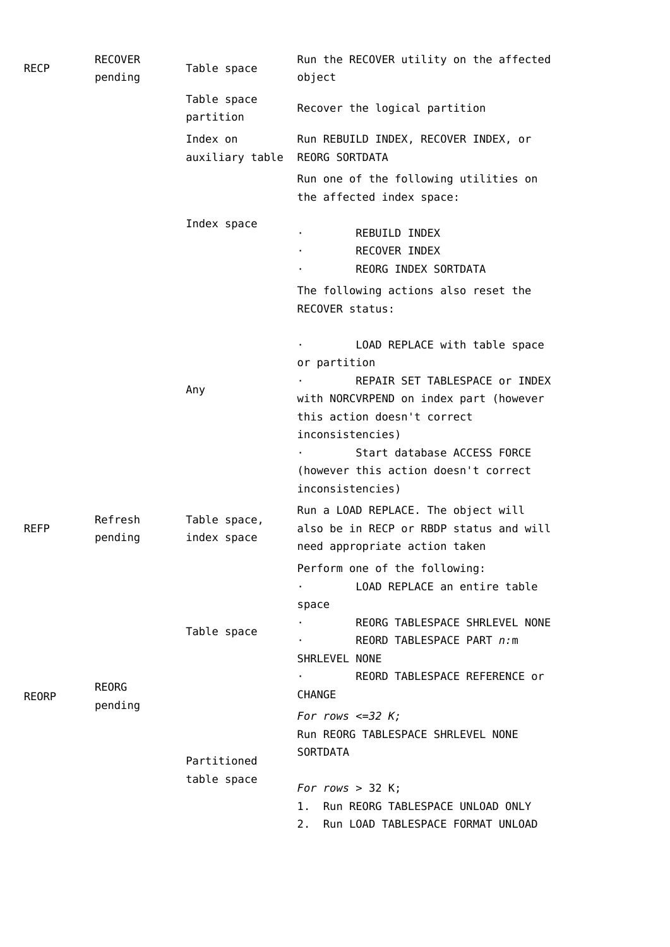| <b>RECP</b>  | <b>RECOVER</b><br>pending | Table space                 | Run the RECOVER utility on the affected<br>object                                                                        |  |
|--------------|---------------------------|-----------------------------|--------------------------------------------------------------------------------------------------------------------------|--|
|              |                           | Table space<br>partition    | Recover the logical partition                                                                                            |  |
|              |                           | Index on<br>auxiliary table | Run REBUILD INDEX, RECOVER INDEX, or<br><b>REORG SORTDATA</b>                                                            |  |
|              |                           |                             | Run one of the following utilities on<br>the affected index space:                                                       |  |
|              |                           | Index space                 | REBUILD INDEX<br>٠<br>RECOVER INDEX<br>REORG INDEX SORTDATA                                                              |  |
|              |                           |                             | The following actions also reset the<br>RECOVER status:                                                                  |  |
|              |                           | Any                         | LOAD REPLACE with table space<br>or partition<br>REPAIR SET TABLESPACE or INDEX                                          |  |
|              |                           |                             | with NORCVRPEND on index part (however<br>this action doesn't correct<br>inconsistencies)<br>Start database ACCESS FORCE |  |
|              |                           |                             | (however this action doesn't correct<br>inconsistencies)                                                                 |  |
| REFP         | Refresh<br>pending        | Table space,<br>index space | Run a LOAD REPLACE. The object will<br>also be in RECP or RBDP status and will<br>need appropriate action taken          |  |
|              |                           |                             | Perform one of the following:<br>LOAD REPLACE an entire table<br>space                                                   |  |
|              |                           | Table space                 | REORG TABLESPACE SHRLEVEL NONE<br>REORD TABLESPACE PART n:m<br>SHRLEVEL NONE                                             |  |
| <b>REORP</b> | <b>REORG</b><br>pending   |                             | REORD TABLESPACE REFERENCE or<br>CHANGE                                                                                  |  |
|              |                           |                             | For rows $\leq$ =32 K;<br>Run REORG TABLESPACE SHRLEVEL NONE<br><b>SORTDATA</b>                                          |  |
|              |                           | Partitioned                 |                                                                                                                          |  |
|              |                           | table space                 | For rows $>$ 32 K;<br>Run REORG TABLESPACE UNLOAD ONLY<br>1.<br>Run LOAD TABLESPACE FORMAT UNLOAD<br>2.                  |  |